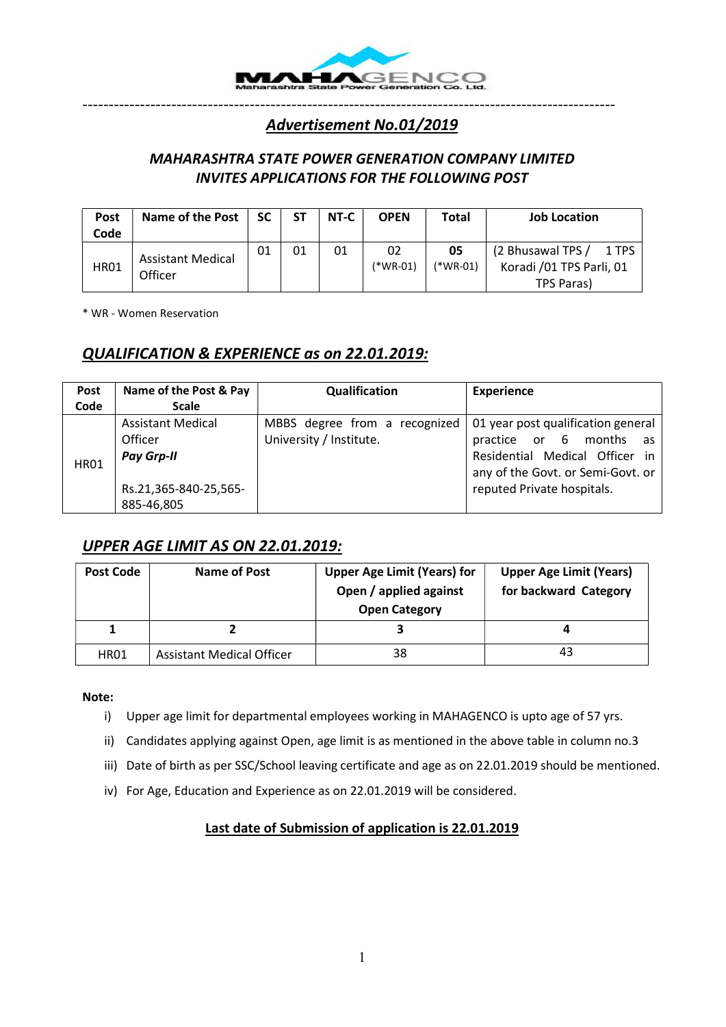

## Advertisement No.01/2019

------------------------------------------------------------------------------------------------------

## MAHARASHTRA STATE POWER GENERATION COMPANY LIMITED INVITES APPLICATIONS FOR THE FOLLOWING POST

| <b>Post</b><br>Code | <b>Name of the Post</b>             | SC | <b>ST</b> | NT-C | <b>OPEN</b>      | <b>Total</b>   | <b>Job Location</b>                                    |
|---------------------|-------------------------------------|----|-----------|------|------------------|----------------|--------------------------------------------------------|
| <b>HR01</b>         | <b>Assistant Medical</b><br>Officer | 01 | 01        | 01   | 02<br>$(*WR-01)$ | 05<br>(*WR-01) | (2 Bhusawal TPS /<br>1 TPS<br>Koradi /01 TPS Parli, 01 |
|                     |                                     |    |           |      |                  |                | TPS Paras)                                             |

\* WR - Women Reservation

## QUALIFICATION & EXPERIENCE as on 22.01.2019:

| Post<br>Code | Name of the Post & Pay<br><b>Scale</b>                                                          | Qualification                                            | <b>Experience</b>                                                                                                                                                     |
|--------------|-------------------------------------------------------------------------------------------------|----------------------------------------------------------|-----------------------------------------------------------------------------------------------------------------------------------------------------------------------|
| <b>HR01</b>  | <b>Assistant Medical</b><br>Officer<br><b>Pay Grp-II</b><br>Rs.21,365-840-25,565-<br>885-46,805 | MBBS degree from a recognized<br>University / Institute. | 01 year post qualification general<br>practice or 6 months<br>as<br>Residential Medical Officer in<br>any of the Govt. or Semi-Govt. or<br>reputed Private hospitals. |

## UPPER AGE LIMIT AS ON 22.01.2019:

| Post Code | Name of Post                     | <b>Upper Age Limit (Years) for</b><br>Open / applied against<br><b>Open Category</b> | <b>Upper Age Limit (Years)</b><br>for backward Category |
|-----------|----------------------------------|--------------------------------------------------------------------------------------|---------------------------------------------------------|
|           |                                  |                                                                                      | Д                                                       |
| HR01      | <b>Assistant Medical Officer</b> | 38                                                                                   | 43                                                      |

#### Note:

- i) Upper age limit for departmental employees working in MAHAGENCO is upto age of 57 yrs.
- ii) Candidates applying against Open, age limit is as mentioned in the above table in column no.3
- iii) Date of birth as per SSC/School leaving certificate and age as on 22.01.2019 should be mentioned.
- iv) For Age, Education and Experience as on 22.01.2019 will be considered.

#### Last date of Submission of application is 22.01.2019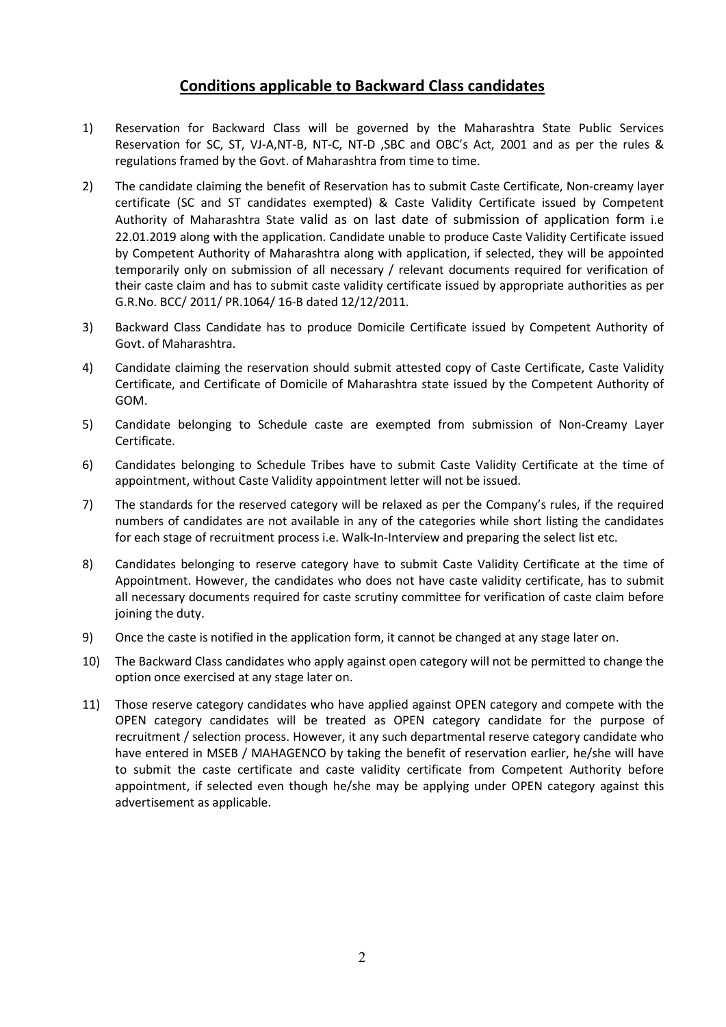## Conditions applicable to Backward Class candidates

- 1) Reservation for Backward Class will be governed by the Maharashtra State Public Services Reservation for SC, ST, VJ-A,NT-B, NT-C, NT-D ,SBC and OBC's Act, 2001 and as per the rules & regulations framed by the Govt. of Maharashtra from time to time.
- 2) The candidate claiming the benefit of Reservation has to submit Caste Certificate, Non-creamy layer certificate (SC and ST candidates exempted) & Caste Validity Certificate issued by Competent Authority of Maharashtra State valid as on last date of submission of application form i.e 22.01.2019 along with the application. Candidate unable to produce Caste Validity Certificate issued by Competent Authority of Maharashtra along with application, if selected, they will be appointed temporarily only on submission of all necessary / relevant documents required for verification of their caste claim and has to submit caste validity certificate issued by appropriate authorities as per G.R.No. BCC/ 2011/ PR.1064/ 16-B dated 12/12/2011.
- 3) Backward Class Candidate has to produce Domicile Certificate issued by Competent Authority of Govt. of Maharashtra.
- 4) Candidate claiming the reservation should submit attested copy of Caste Certificate, Caste Validity Certificate, and Certificate of Domicile of Maharashtra state issued by the Competent Authority of GOM.
- 5) Candidate belonging to Schedule caste are exempted from submission of Non-Creamy Layer Certificate.
- 6) Candidates belonging to Schedule Tribes have to submit Caste Validity Certificate at the time of appointment, without Caste Validity appointment letter will not be issued.
- 7) The standards for the reserved category will be relaxed as per the Company's rules, if the required numbers of candidates are not available in any of the categories while short listing the candidates for each stage of recruitment process i.e. Walk-In-Interview and preparing the select list etc.
- 8) Candidates belonging to reserve category have to submit Caste Validity Certificate at the time of Appointment. However, the candidates who does not have caste validity certificate, has to submit all necessary documents required for caste scrutiny committee for verification of caste claim before joining the duty.
- 9) Once the caste is notified in the application form, it cannot be changed at any stage later on.
- 10) The Backward Class candidates who apply against open category will not be permitted to change the option once exercised at any stage later on.
- 11) Those reserve category candidates who have applied against OPEN category and compete with the OPEN category candidates will be treated as OPEN category candidate for the purpose of recruitment / selection process. However, it any such departmental reserve category candidate who have entered in MSEB / MAHAGENCO by taking the benefit of reservation earlier, he/she will have to submit the caste certificate and caste validity certificate from Competent Authority before appointment, if selected even though he/she may be applying under OPEN category against this advertisement as applicable.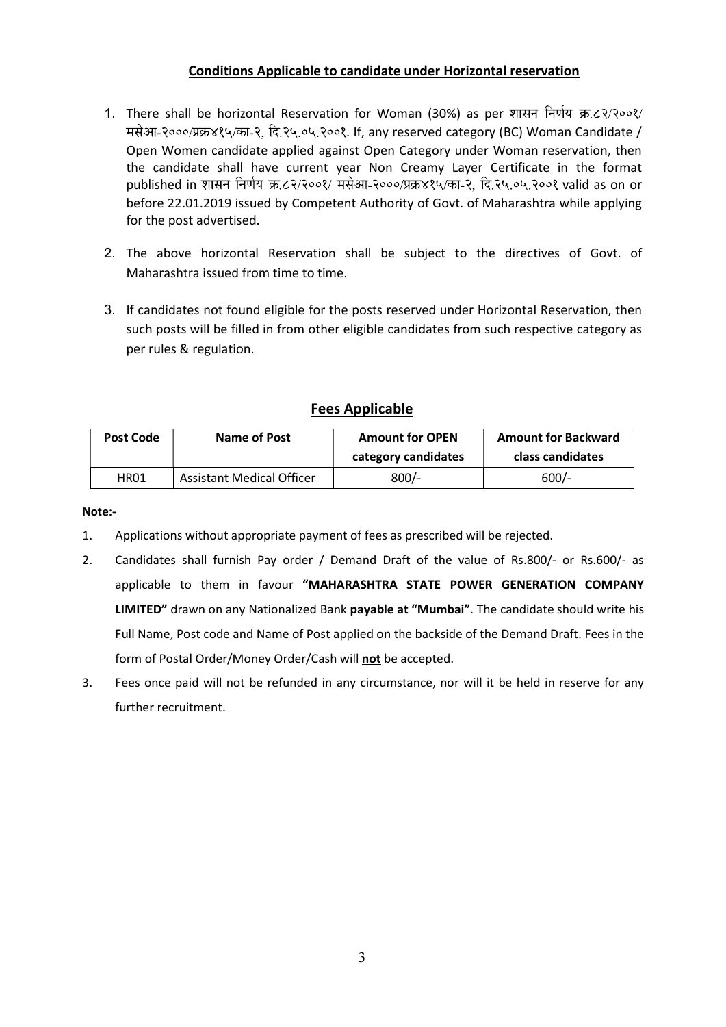#### Conditions Applicable to candidate under Horizontal reservation

- 1. There shall be horizontal Reservation for Woman (30%) as per शासन निर्णय क्र.८२/२००१/ मसेआ-२०००/प्रक्र४१५/का-२, दि.२५.०५.२००१. If, any reserved category (BC) Woman Candidate / Open Women candidate applied against Open Category under Woman reservation, then the candidate shall have current year Non Creamy Layer Certificate in the format published in शासन निर्णय क्र.८२/२००१/ मसेआ-२०००/प्रक्र४१५/का-२, दि.२५.०५.२००१ valid as on or before 22.01.2019 issued by Competent Authority of Govt. of Maharashtra while applying for the post advertised.
- 2. The above horizontal Reservation shall be subject to the directives of Govt. of Maharashtra issued from time to time.
- 3. If candidates not found eligible for the posts reserved under Horizontal Reservation, then such posts will be filled in from other eligible candidates from such respective category as per rules & regulation.

## Fees Applicable

| <b>Post Code</b> | Name of Post                     | <b>Amount for OPEN</b><br>category candidates | <b>Amount for Backward</b><br>class candidates |
|------------------|----------------------------------|-----------------------------------------------|------------------------------------------------|
| HR01             | <b>Assistant Medical Officer</b> | $800/-$                                       | $600/-$                                        |

Note:-

- 1. Applications without appropriate payment of fees as prescribed will be rejected.
- 2. Candidates shall furnish Pay order / Demand Draft of the value of Rs.800/- or Rs.600/- as applicable to them in favour "MAHARASHTRA STATE POWER GENERATION COMPANY LIMITED" drawn on any Nationalized Bank payable at "Mumbai". The candidate should write his Full Name, Post code and Name of Post applied on the backside of the Demand Draft. Fees in the form of Postal Order/Money Order/Cash will not be accepted.
- 3. Fees once paid will not be refunded in any circumstance, nor will it be held in reserve for any further recruitment.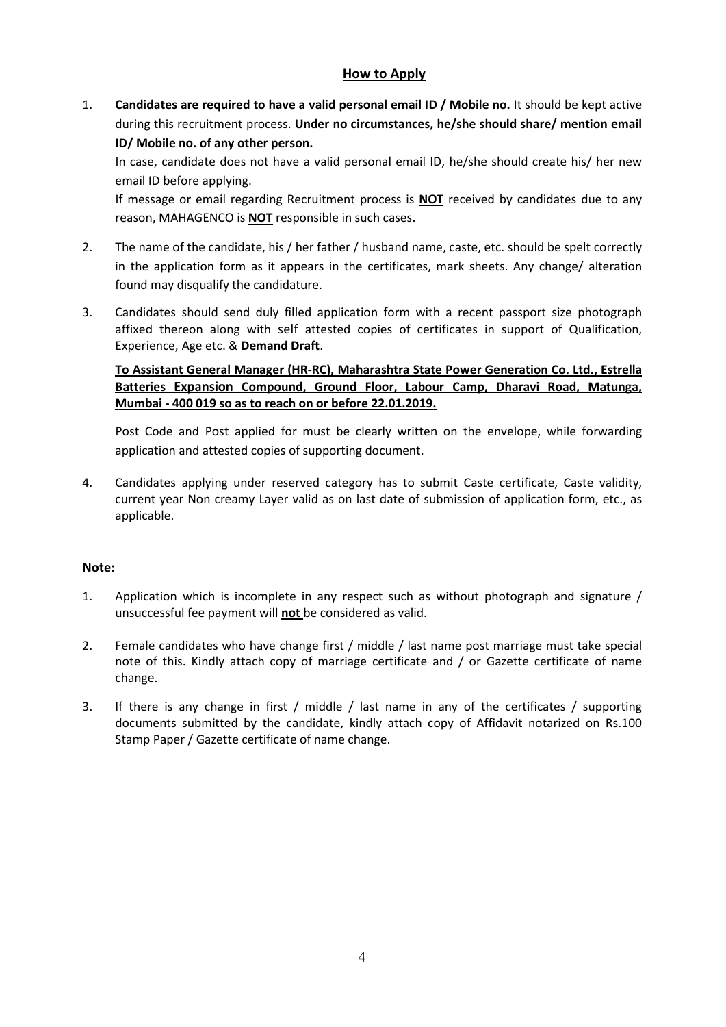#### How to Apply

1. Candidates are required to have a valid personal email ID / Mobile no. It should be kept active during this recruitment process. Under no circumstances, he/she should share/ mention email ID/ Mobile no. of any other person.

 In case, candidate does not have a valid personal email ID, he/she should create his/ her new email ID before applying.

 If message or email regarding Recruitment process is NOT received by candidates due to any reason, MAHAGENCO is NOT responsible in such cases.

- 2. The name of the candidate, his / her father / husband name, caste, etc. should be spelt correctly in the application form as it appears in the certificates, mark sheets. Any change/ alteration found may disqualify the candidature.
- 3. Candidates should send duly filled application form with a recent passport size photograph affixed thereon along with self attested copies of certificates in support of Qualification, Experience, Age etc. & Demand Draft.

To Assistant General Manager (HR-RC), Maharashtra State Power Generation Co. Ltd., Estrella Batteries Expansion Compound, Ground Floor, Labour Camp, Dharavi Road, Matunga, Mumbai - 400 019 so as to reach on or before 22.01.2019.

 Post Code and Post applied for must be clearly written on the envelope, while forwarding application and attested copies of supporting document.

4. Candidates applying under reserved category has to submit Caste certificate, Caste validity, current year Non creamy Layer valid as on last date of submission of application form, etc., as applicable.

#### Note:

- 1. Application which is incomplete in any respect such as without photograph and signature / unsuccessful fee payment will not be considered as valid.
- 2. Female candidates who have change first / middle / last name post marriage must take special note of this. Kindly attach copy of marriage certificate and / or Gazette certificate of name change.
- 3. If there is any change in first / middle / last name in any of the certificates / supporting documents submitted by the candidate, kindly attach copy of Affidavit notarized on Rs.100 Stamp Paper / Gazette certificate of name change.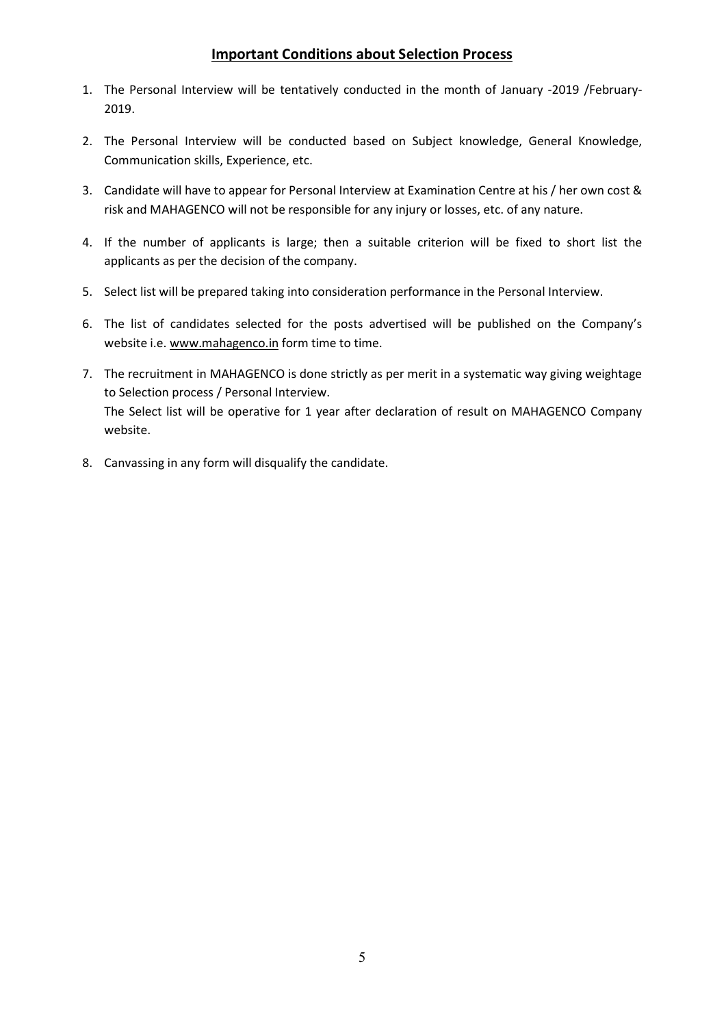#### Important Conditions about Selection Process

- 1. The Personal Interview will be tentatively conducted in the month of January -2019 /February-2019.
- 2. The Personal Interview will be conducted based on Subject knowledge, General Knowledge, Communication skills, Experience, etc.
- 3. Candidate will have to appear for Personal Interview at Examination Centre at his / her own cost & risk and MAHAGENCO will not be responsible for any injury or losses, etc. of any nature.
- 4. If the number of applicants is large; then a suitable criterion will be fixed to short list the applicants as per the decision of the company.
- 5. Select list will be prepared taking into consideration performance in the Personal Interview.
- 6. The list of candidates selected for the posts advertised will be published on the Company's website i.e. www.mahagenco.in form time to time.
- 7. The recruitment in MAHAGENCO is done strictly as per merit in a systematic way giving weightage to Selection process / Personal Interview. The Select list will be operative for 1 year after declaration of result on MAHAGENCO Company website.
- 8. Canvassing in any form will disqualify the candidate.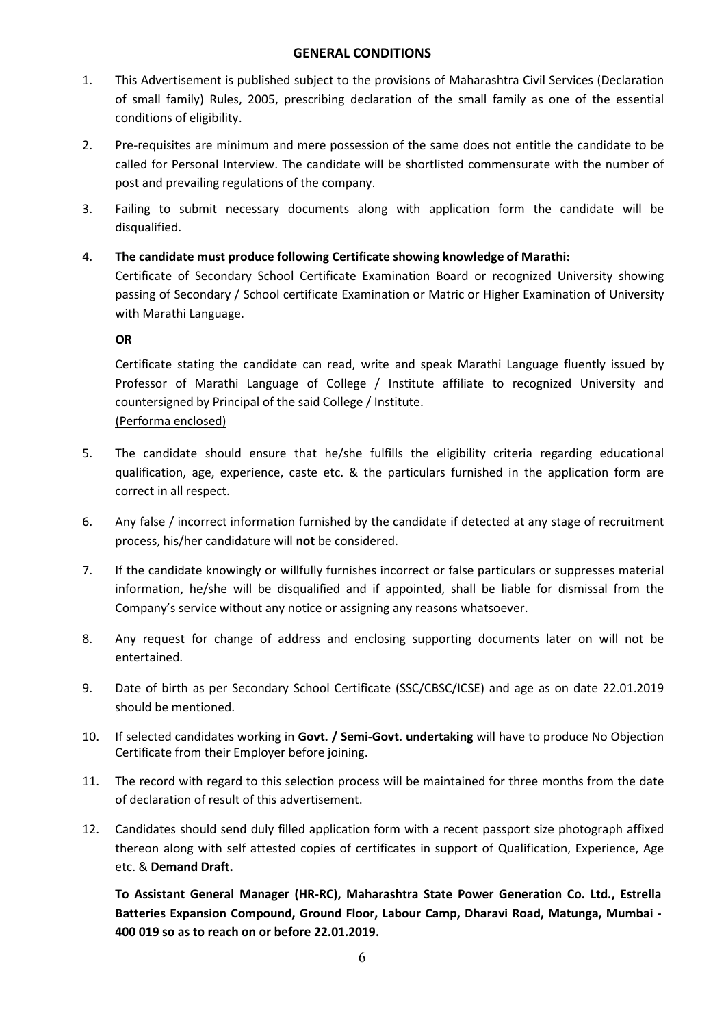#### GENERAL CONDITIONS

- 1. This Advertisement is published subject to the provisions of Maharashtra Civil Services (Declaration of small family) Rules, 2005, prescribing declaration of the small family as one of the essential conditions of eligibility.
- 2. Pre-requisites are minimum and mere possession of the same does not entitle the candidate to be called for Personal Interview. The candidate will be shortlisted commensurate with the number of post and prevailing regulations of the company.
- 3. Failing to submit necessary documents along with application form the candidate will be disqualified.
- 4. The candidate must produce following Certificate showing knowledge of Marathi: Certificate of Secondary School Certificate Examination Board or recognized University showing passing of Secondary / School certificate Examination or Matric or Higher Examination of University with Marathi Language.

#### OR

Certificate stating the candidate can read, write and speak Marathi Language fluently issued by Professor of Marathi Language of College / Institute affiliate to recognized University and countersigned by Principal of the said College / Institute. (Performa enclosed)

- 5. The candidate should ensure that he/she fulfills the eligibility criteria regarding educational qualification, age, experience, caste etc. & the particulars furnished in the application form are correct in all respect.
- 6. Any false / incorrect information furnished by the candidate if detected at any stage of recruitment process, his/her candidature will not be considered.
- 7. If the candidate knowingly or willfully furnishes incorrect or false particulars or suppresses material information, he/she will be disqualified and if appointed, shall be liable for dismissal from the Company's service without any notice or assigning any reasons whatsoever.
- 8. Any request for change of address and enclosing supporting documents later on will not be entertained.
- 9. Date of birth as per Secondary School Certificate (SSC/CBSC/ICSE) and age as on date 22.01.2019 should be mentioned.
- 10. If selected candidates working in Govt. / Semi-Govt. undertaking will have to produce No Objection Certificate from their Employer before joining.
- 11. The record with regard to this selection process will be maintained for three months from the date of declaration of result of this advertisement.
- 12. Candidates should send duly filled application form with a recent passport size photograph affixed thereon along with self attested copies of certificates in support of Qualification, Experience, Age etc. & Demand Draft.

To Assistant General Manager (HR-RC), Maharashtra State Power Generation Co. Ltd., Estrella Batteries Expansion Compound, Ground Floor, Labour Camp, Dharavi Road, Matunga, Mumbai - 400 019 so as to reach on or before 22.01.2019.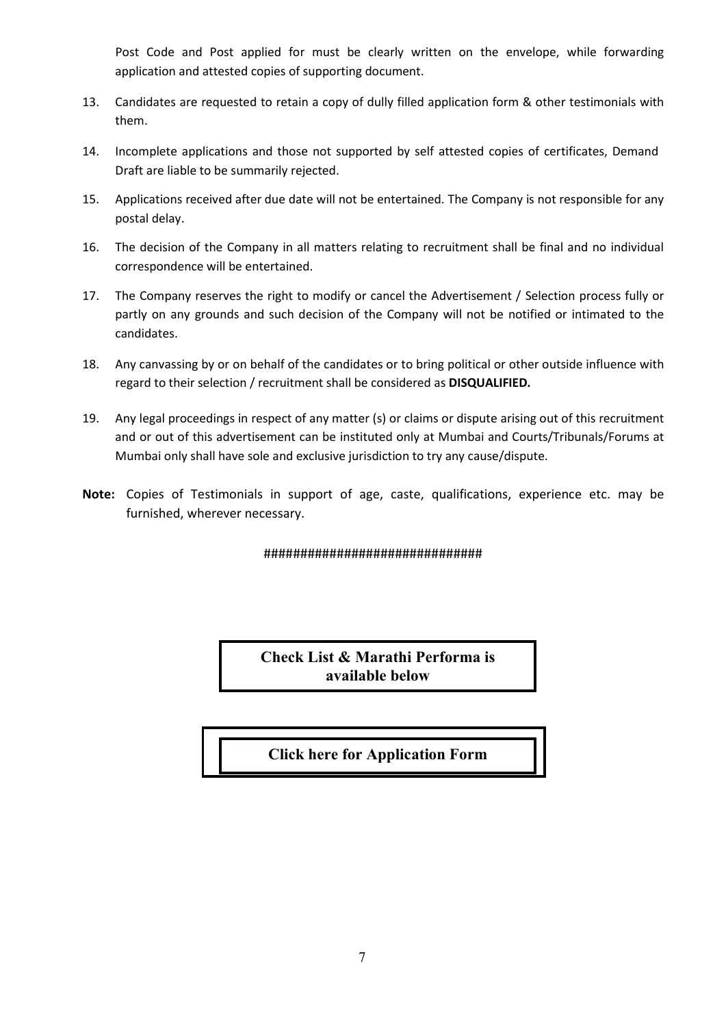Post Code and Post applied for must be clearly written on the envelope, while forwarding application and attested copies of supporting document.

- 13. Candidates are requested to retain a copy of dully filled application form & other testimonials with them.
- 14. Incomplete applications and those not supported by self attested copies of certificates, Demand Draft are liable to be summarily rejected.
- 15. Applications received after due date will not be entertained. The Company is not responsible for any postal delay.
- 16. The decision of the Company in all matters relating to recruitment shall be final and no individual correspondence will be entertained.
- 17. The Company reserves the right to modify or cancel the Advertisement / Selection process fully or partly on any grounds and such decision of the Company will not be notified or intimated to the candidates.
- 18. Any canvassing by or on behalf of the candidates or to bring political or other outside influence with regard to their selection / recruitment shall be considered as DISQUALIFIED.
- 19. Any legal proceedings in respect of any matter (s) or claims or dispute arising out of this recruitment and or out of this advertisement can be instituted only at Mumbai and Courts/Tribunals/Forums at Mumbai only shall have sole and exclusive jurisdiction to try any cause/dispute.
- Note: Copies of Testimonials in support of age, caste, qualifications, experience etc. may be furnished, wherever necessary.

#### ##############################

Check List & Marathi Performa is available below

## [Click here for Application Form](https://mahagenco.in/phocadownload/career/2019/01_JAN/Application Form.pdf)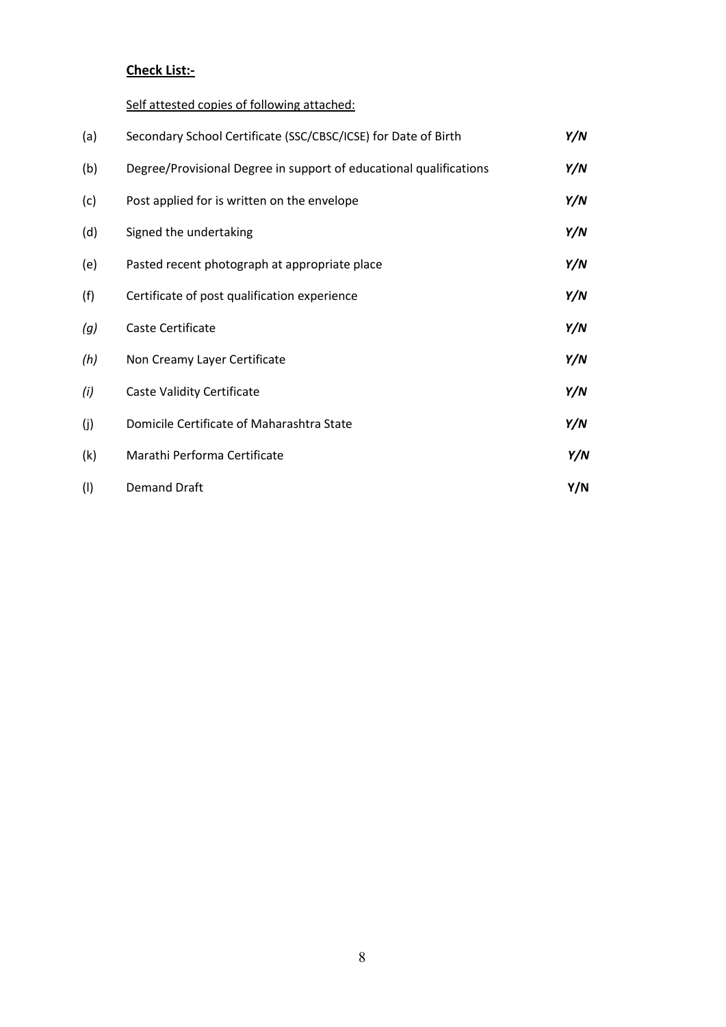## Check List:-

Self attested copies of following attached:

| (a) | Secondary School Certificate (SSC/CBSC/ICSE) for Date of Birth     | Y/N |
|-----|--------------------------------------------------------------------|-----|
| (b) | Degree/Provisional Degree in support of educational qualifications | Y/N |
| (c) | Post applied for is written on the envelope                        | Y/N |
| (d) | Signed the undertaking                                             | Y/N |
| (e) | Pasted recent photograph at appropriate place                      | Y/N |
| (f) | Certificate of post qualification experience                       | Y/N |
| (g) | Caste Certificate                                                  | Y/N |
| (h) | Non Creamy Layer Certificate                                       | Y/N |
| (i) | <b>Caste Validity Certificate</b>                                  | Y/N |
| (j) | Domicile Certificate of Maharashtra State                          | Y/N |
| (k) | Marathi Performa Certificate                                       | Y/N |
| (1) | <b>Demand Draft</b>                                                | Y/N |